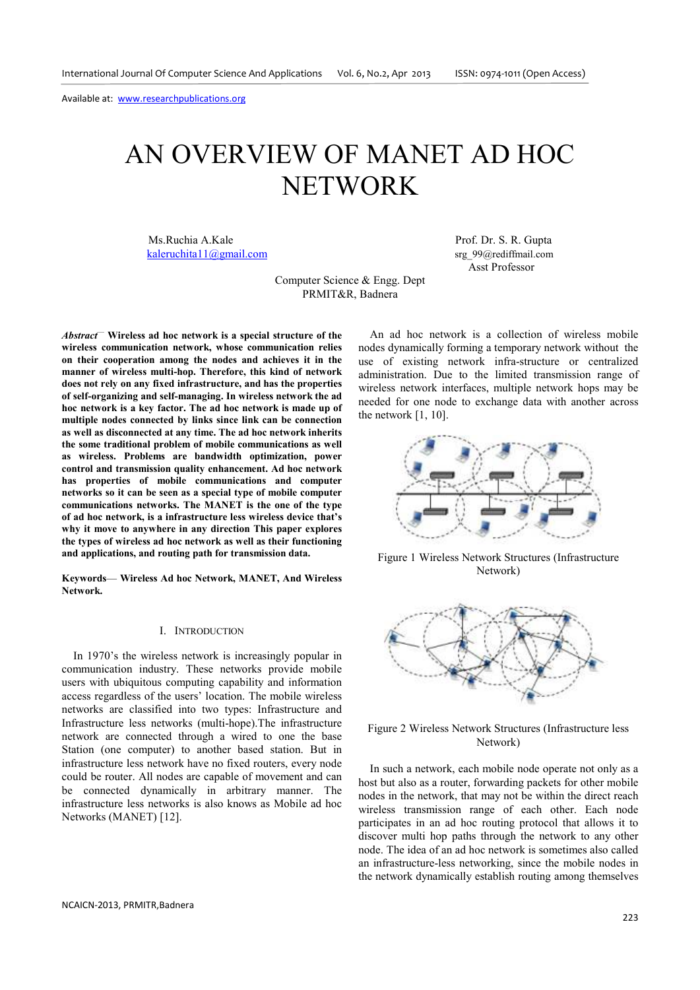# AN OVERVIEW OF MANET AD HOC NETWORK

Ms.Ruchia A.Kale Prof. Dr. S. R. Gupta kaleruchita11@gmail.com srg 99@rediffmail.com srg

Asst Professor

Computer Science & Engg. Dept PRMIT&R, Badnera

*Abstract*— **Wireless ad hoc network is a special structure of the wireless communication network, whose communication relies on their cooperation among the nodes and achieves it in the manner of wireless multi-hop. Therefore, this kind of network does not rely on any fixed infrastructure, and has the properties of self-organizing and self-managing. In wireless network the ad hoc network is a key factor. The ad hoc network is made up of multiple nodes connected by links since link can be connection as well as disconnected at any time. The ad hoc network inherits the some traditional problem of mobile communications as well as wireless. Problems are bandwidth optimization, power control and transmission quality enhancement. Ad hoc network has properties of mobile communications and computer networks so it can be seen as a special type of mobile computer communications networks. The MANET is the one of the type of ad hoc network, is a infrastructure less wireless device that's why it move to anywhere in any direction This paper explores the types of wireless ad hoc network as well as their functioning and applications, and routing path for transmission data.** 

**Keywords**— **Wireless Ad hoc Network, MANET, And Wireless Network.** 

#### I. INTRODUCTION

In 1970's the wireless network is increasingly popular in communication industry. These networks provide mobile users with ubiquitous computing capability and information access regardless of the users' location. The mobile wireless networks are classified into two types: Infrastructure and Infrastructure less networks (multi-hope).The infrastructure network are connected through a wired to one the base Station (one computer) to another based station. But in infrastructure less network have no fixed routers, every node could be router. All nodes are capable of movement and can be connected dynamically in arbitrary manner. The infrastructure less networks is also knows as Mobile ad hoc Networks (MANET) [12].

An ad hoc network is a collection of wireless mobile nodes dynamically forming a temporary network without the use of existing network infra-structure or centralized administration. Due to the limited transmission range of wireless network interfaces, multiple network hops may be needed for one node to exchange data with another across the network [1, 10].



Figure 1 Wireless Network Structures (Infrastructure Network)



Figure 2 Wireless Network Structures (Infrastructure less Network)

In such a network, each mobile node operate not only as a host but also as a router, forwarding packets for other mobile nodes in the network, that may not be within the direct reach wireless transmission range of each other. Each node participates in an ad hoc routing protocol that allows it to discover multi hop paths through the network to any other node. The idea of an ad hoc network is sometimes also called an infrastructure-less networking, since the mobile nodes in the network dynamically establish routing among themselves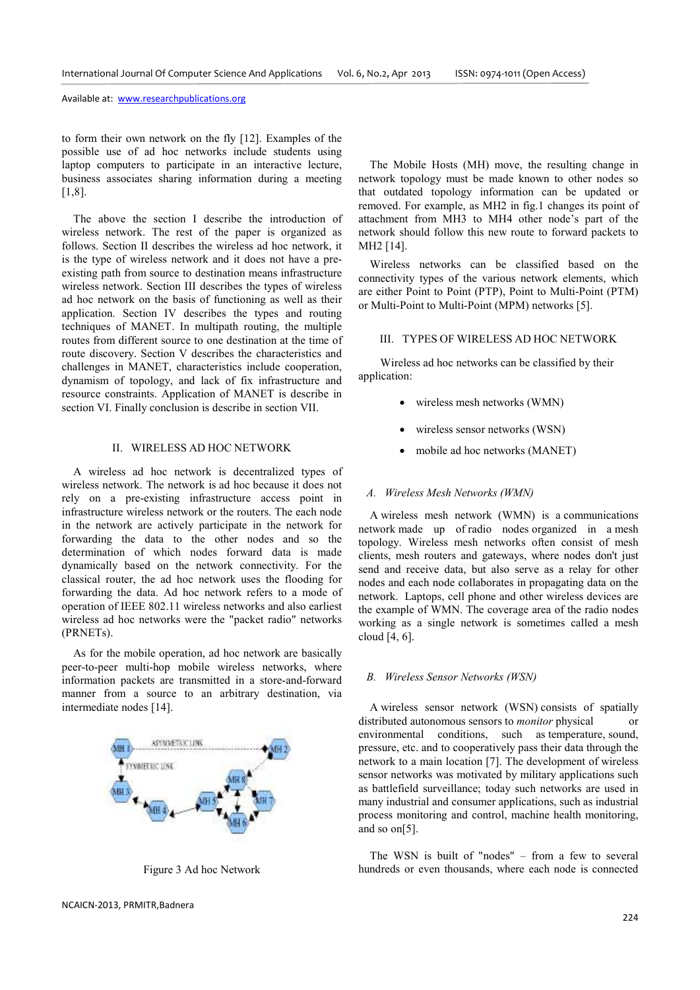to form their own network on the fly [12]. Examples of the possible use of ad hoc networks include students using laptop computers to participate in an interactive lecture, business associates sharing information during a meeting [1,8].

The above the section I describe the introduction of wireless network. The rest of the paper is organized as follows. Section II describes the wireless ad hoc network, it is the type of wireless network and it does not have a preexisting path from source to destination means infrastructure wireless network. Section III describes the types of wireless ad hoc network on the basis of functioning as well as their application. Section IV describes the types and routing techniques of MANET. In multipath routing, the multiple routes from different source to one destination at the time of route discovery. Section V describes the characteristics and challenges in MANET, characteristics include cooperation, dynamism of topology, and lack of fix infrastructure and resource constraints. Application of MANET is describe in section VI. Finally conclusion is describe in section VII.

# II. WIRELESS AD HOC NETWORK

A wireless ad hoc network is decentralized types of wireless network. The network is ad hoc because it does not rely on a pre-existing infrastructure access point in infrastructure wireless network or the routers. The each node in the network are actively participate in the network for forwarding the data to the other nodes and so the determination of which nodes forward data is made dynamically based on the network connectivity. For the classical router, the ad hoc network uses the flooding for forwarding the data. Ad hoc network refers to a mode of operation of IEEE 802.11 wireless networks and also earliest wireless ad hoc networks were the "packet radio" networks (PRNETs).

As for the mobile operation, ad hoc network are basically peer-to-peer multi-hop mobile wireless networks, where information packets are transmitted in a store-and-forward manner from a source to an arbitrary destination, via intermediate nodes [14].



Figure 3 Ad hoc Network

 The Mobile Hosts (MH) move, the resulting change in network topology must be made known to other nodes so that outdated topology information can be updated or removed. For example, as MH2 in fig.1 changes its point of attachment from MH3 to MH4 other node's part of the network should follow this new route to forward packets to MH2 [14].

Wireless networks can be classified based on the connectivity types of the various network elements, which are either Point to Point (PTP), Point to Multi-Point (PTM) or Multi-Point to Multi-Point (MPM) networks [5].

### III. TYPES OF WIRELESS AD HOC NETWORK

Wireless ad hoc networks can be classified by their application:

- wireless mesh networks (WMN)
- wireless sensor networks (WSN)
- mobile ad hoc networks (MANET)

#### *A. Wireless Mesh Networks (WMN)*

A wireless mesh network (WMN) is a communications network made up of radio nodes organized in a mesh topology. Wireless mesh networks often consist of mesh clients, mesh routers and gateways, where nodes don't just send and receive data, but also serve as a relay for other nodes and each node collaborates in propagating data on the network. Laptops, cell phone and other wireless devices are the example of WMN. The coverage area of the radio nodes working as a single network is sometimes called a mesh cloud [4, 6].

# *B. Wireless Sensor Networks (WSN)*

A wireless sensor network (WSN) consists of spatially distributed autonomous sensors to *monitor* physical or environmental conditions, such as temperature, sound, pressure, etc. and to cooperatively pass their data through the network to a main location [7]. The development of wireless sensor networks was motivated by military applications such as battlefield surveillance; today such networks are used in many industrial and consumer applications, such as industrial process monitoring and control, machine health monitoring, and so on[5].

The WSN is built of "nodes" – from a few to several hundreds or even thousands, where each node is connected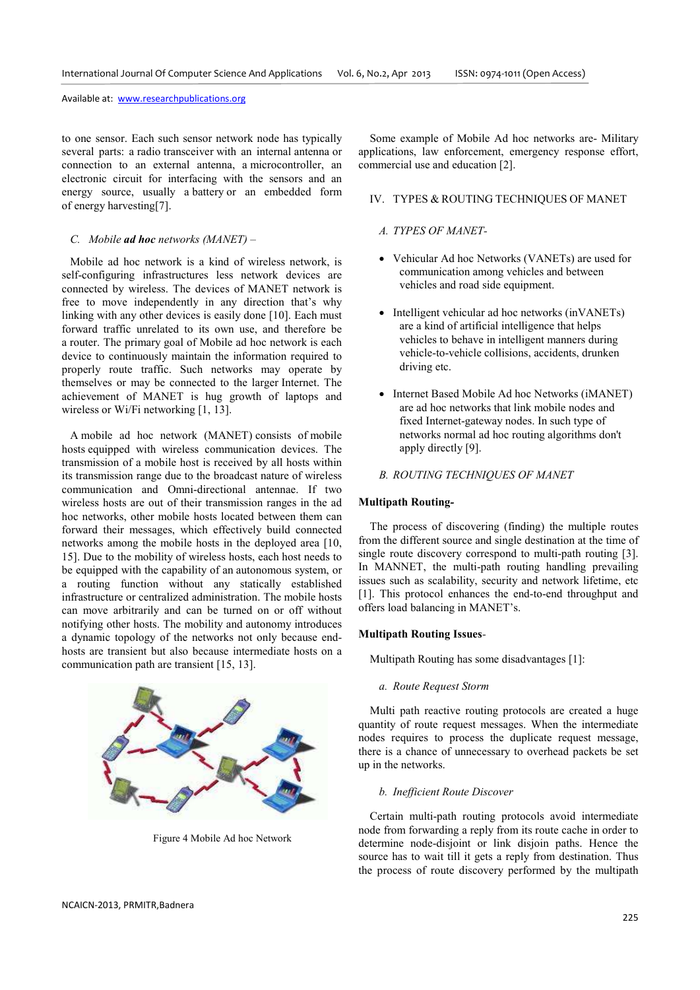to one sensor. Each such sensor network node has typically several parts: a radio transceiver with an internal antenna or connection to an external antenna, a microcontroller, an electronic circuit for interfacing with the sensors and an energy source, usually a battery or an embedded form of energy harvesting[7].

# *C. Mobile ad hoc networks (MANET) –*

Mobile ad hoc network is a kind of wireless network, is self-configuring infrastructures less network devices are connected by wireless. The devices of MANET network is free to move independently in any direction that's why linking with any other devices is easily done [10]. Each must forward traffic unrelated to its own use, and therefore be a router. The primary goal of Mobile ad hoc network is each device to continuously maintain the information required to properly route traffic. Such networks may operate by themselves or may be connected to the larger Internet. The achievement of MANET is hug growth of laptops and wireless or Wi/Fi networking [1, 13].

A mobile ad hoc network (MANET) consists of mobile hosts equipped with wireless communication devices. The transmission of a mobile host is received by all hosts within its transmission range due to the broadcast nature of wireless communication and Omni-directional antennae. If two wireless hosts are out of their transmission ranges in the ad hoc networks, other mobile hosts located between them can forward their messages, which effectively build connected networks among the mobile hosts in the deployed area [10, 15]. Due to the mobility of wireless hosts, each host needs to be equipped with the capability of an autonomous system, or a routing function without any statically established infrastructure or centralized administration. The mobile hosts can move arbitrarily and can be turned on or off without notifying other hosts. The mobility and autonomy introduces a dynamic topology of the networks not only because endhosts are transient but also because intermediate hosts on a communication path are transient [15, 13].

Figure 4 Mobile Ad hoc Network

Some example of Mobile Ad hoc networks are- Military applications, law enforcement, emergency response effort, commercial use and education [2].

# IV. TYPES & ROUTING TECHNIQUES OF MANET

# *A. TYPES OF MANET-*

- Vehicular Ad hoc Networks (VANETs) are used for communication among vehicles and between vehicles and road side equipment.
- Intelligent vehicular ad hoc networks (inVANETs) are a kind of artificial intelligence that helps vehicles to behave in intelligent manners during vehicle-to-vehicle collisions, accidents, drunken driving etc.
- Internet Based Mobile Ad hoc Networks (iMANET) are ad hoc networks that link mobile nodes and fixed Internet-gateway nodes. In such type of networks normal ad hoc routing algorithms don't apply directly [9].

# *B. ROUTING TECHNIQUES OF MANET*

# **Multipath Routing***-*

The process of discovering (finding) the multiple routes from the different source and single destination at the time of single route discovery correspond to multi-path routing [3]. In MANNET, the multi-path routing handling prevailing issues such as scalability, security and network lifetime, etc [1]. This protocol enhances the end-to-end throughput and offers load balancing in MANET's.

#### **Multipath Routing Issues***-*

Multipath Routing has some disadvantages [1]:

*a. Route Request Storm*

 Multi path reactive routing protocols are created a huge quantity of route request messages. When the intermediate nodes requires to process the duplicate request message, there is a chance of unnecessary to overhead packets be set up in the networks.

# *b. Inefficient Route Discover*

Certain multi-path routing protocols avoid intermediate node from forwarding a reply from its route cache in order to determine node-disjoint or link disjoin paths. Hence the source has to wait till it gets a reply from destination. Thus the process of route discovery performed by the multipath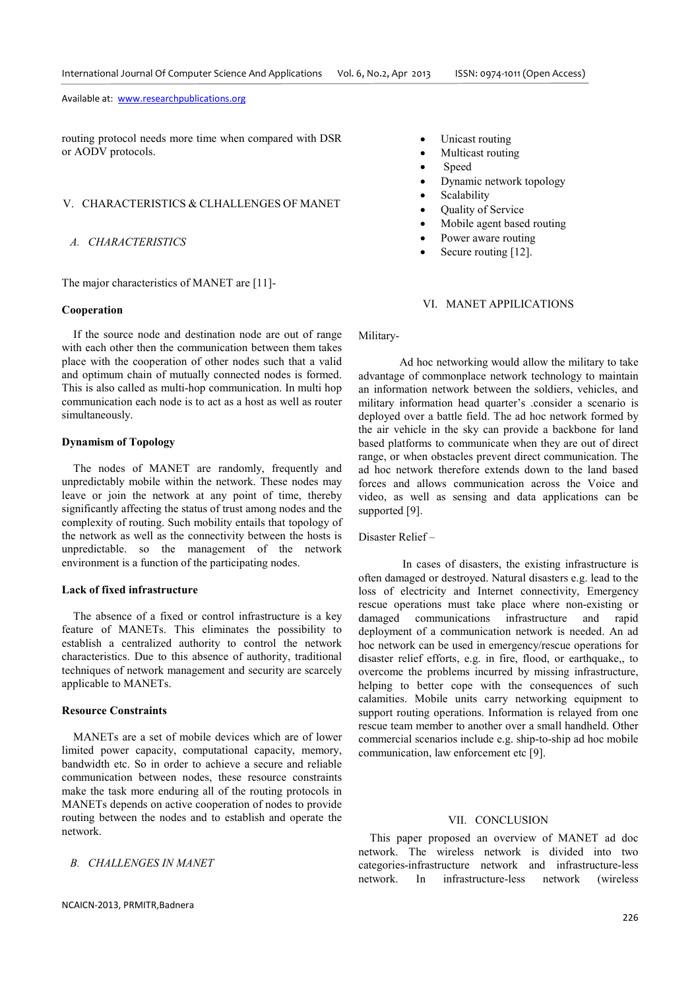routing protocol needs more time when compared with DSR or AODV protocols.

# V. CHARACTERISTICS & CLHALLENGES OF MANET

# *A. CHARACTERISTICS*

The major characteristics of MANET are [11]-

# **Cooperation**

If the source node and destination node are out of range with each other then the communication between them takes place with the cooperation of other nodes such that a valid and optimum chain of mutually connected nodes is formed. This is also called as multi-hop communication. In multi hop communication each node is to act as a host as well as router simultaneously.

# **Dynamism of Topology**

The nodes of MANET are randomly, frequently and unpredictably mobile within the network. These nodes may leave or join the network at any point of time, thereby significantly affecting the status of trust among nodes and the complexity of routing. Such mobility entails that topology of the network as well as the connectivity between the hosts is unpredictable. so the management of the network environment is a function of the participating nodes.

### **Lack of fixed infrastructure**

The absence of a fixed or control infrastructure is a key feature of MANETs. This eliminates the possibility to establish a centralized authority to control the network characteristics. Due to this absence of authority, traditional techniques of network management and security are scarcely applicable to MANETs.

#### **Resource Constraints**

MANETs are a set of mobile devices which are of lower limited power capacity, computational capacity, memory, bandwidth etc. So in order to achieve a secure and reliable communication between nodes, these resource constraints make the task more enduring all of the routing protocols in MANETs depends on active cooperation of nodes to provide routing between the nodes and to establish and operate the network.

# *B. CHALLENGES IN MANET*

- Unicast routing
- Multicast routing
- Speed
- Dynamic network topology
- Scalability
- Quality of Service
- Mobile agent based routing
- Power aware routing
- Secure routing [12].

# VI. MANET APPILICATIONS

Military-

Ad hoc networking would allow the military to take advantage of commonplace network technology to maintain an information network between the soldiers, vehicles, and military information head quarter's .consider a scenario is deployed over a battle field. The ad hoc network formed by the air vehicle in the sky can provide a backbone for land based platforms to communicate when they are out of direct range, or when obstacles prevent direct communication. The ad hoc network therefore extends down to the land based forces and allows communication across the Voice and video, as well as sensing and data applications can be supported [9].

Disaster Relief –

 In cases of disasters, the existing infrastructure is often damaged or destroyed. Natural disasters e.g. lead to the loss of electricity and Internet connectivity, Emergency rescue operations must take place where non-existing or damaged communications infrastructure and rapid deployment of a communication network is needed. An ad hoc network can be used in emergency/rescue operations for disaster relief efforts, e.g. in fire, flood, or earthquake,, to overcome the problems incurred by missing infrastructure, helping to better cope with the consequences of such calamities. Mobile units carry networking equipment to support routing operations. Information is relayed from one rescue team member to another over a small handheld. Other commercial scenarios include e.g. ship-to-ship ad hoc mobile communication, law enforcement etc [9].

# VII. CONCLUSION

This paper proposed an overview of MANET ad doc network. The wireless network is divided into two categories-infrastructure network and infrastructure-less network. In infrastructure-less network (wireless